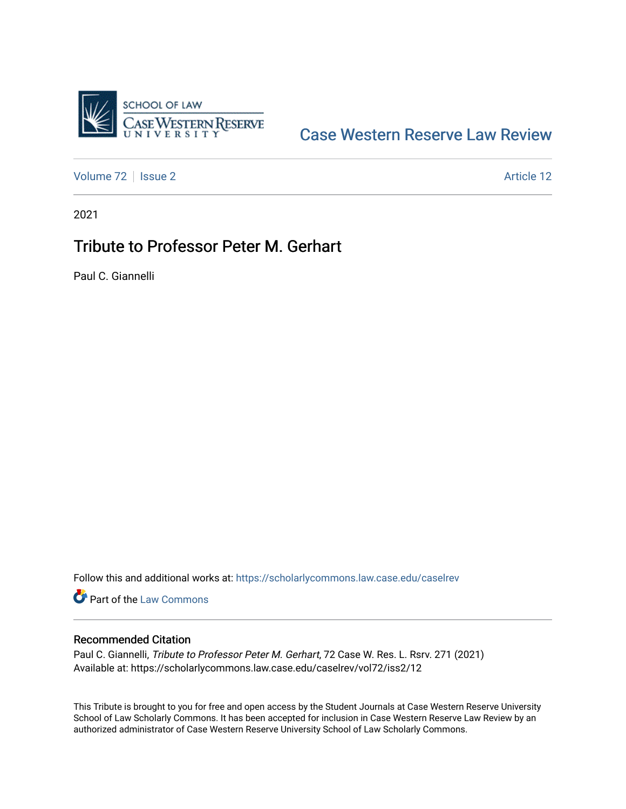

## [Case Western Reserve Law Review](https://scholarlycommons.law.case.edu/caselrev)

[Volume 72](https://scholarlycommons.law.case.edu/caselrev/vol72) | [Issue 2](https://scholarlycommons.law.case.edu/caselrev/vol72/iss2) Article 12

2021

## Tribute to Professor Peter M. Gerhart

Paul C. Giannelli

Follow this and additional works at: [https://scholarlycommons.law.case.edu/caselrev](https://scholarlycommons.law.case.edu/caselrev?utm_source=scholarlycommons.law.case.edu%2Fcaselrev%2Fvol72%2Fiss2%2F12&utm_medium=PDF&utm_campaign=PDFCoverPages)

Part of the [Law Commons](https://network.bepress.com/hgg/discipline/578?utm_source=scholarlycommons.law.case.edu%2Fcaselrev%2Fvol72%2Fiss2%2F12&utm_medium=PDF&utm_campaign=PDFCoverPages)

## Recommended Citation

Paul C. Giannelli, Tribute to Professor Peter M. Gerhart, 72 Case W. Res. L. Rsrv. 271 (2021) Available at: https://scholarlycommons.law.case.edu/caselrev/vol72/iss2/12

This Tribute is brought to you for free and open access by the Student Journals at Case Western Reserve University School of Law Scholarly Commons. It has been accepted for inclusion in Case Western Reserve Law Review by an authorized administrator of Case Western Reserve University School of Law Scholarly Commons.